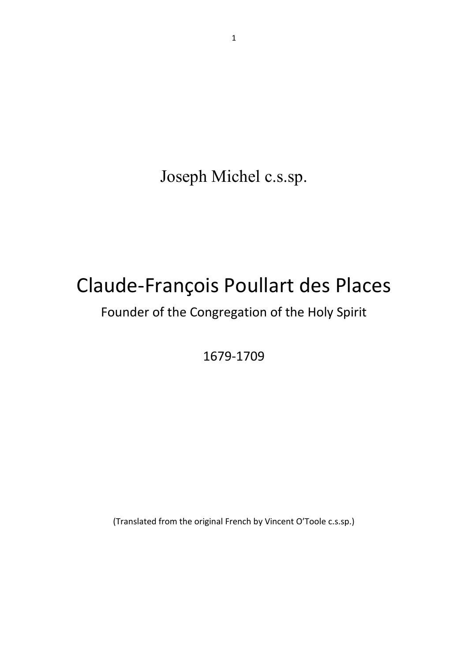Joseph Michel c.s.sp.

## Claude-François Poullart des Places

## Founder of the Congregation of the Holy Spirit

1679-1709

(Translated from the original French by Vincent O'Toole c.s.sp.)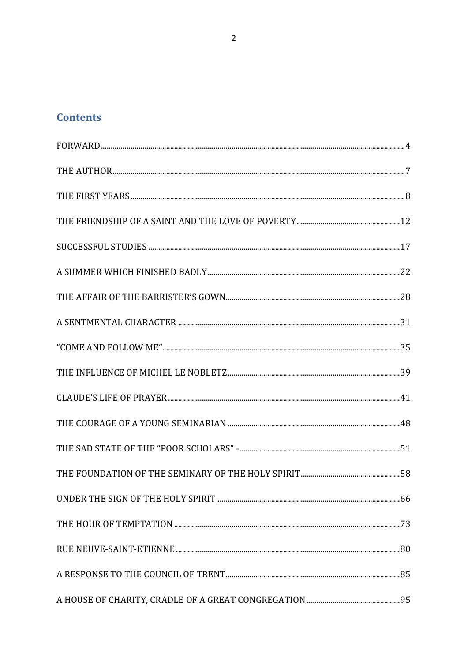## **Contents**